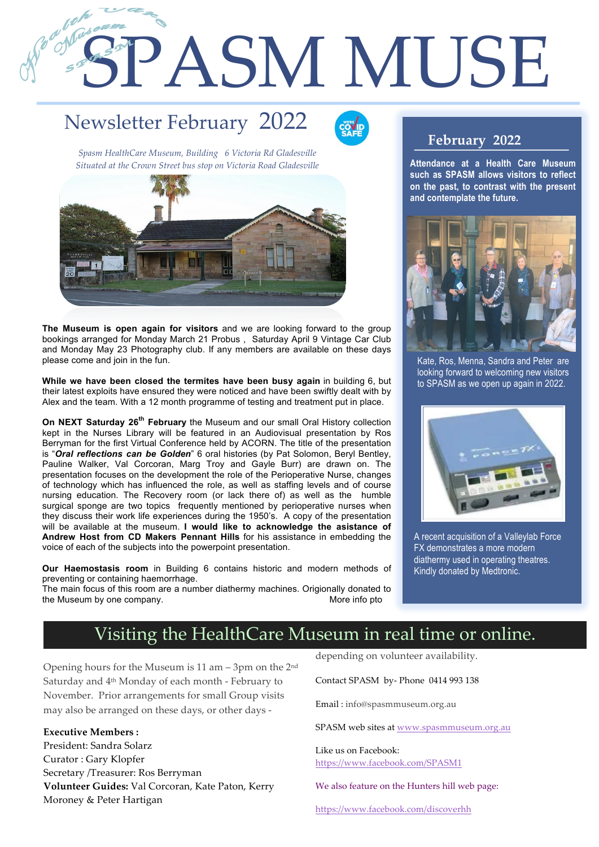# SPASM MUSE

## Newsletter February 2022

1

2



*Spasm HealthCare Museum, Building 6 Victoria Rd Gladesville Situated at the Crown Street bus stop on Victoria Road Gladesville*



**The Museum is open again for visitors** and we are looking forward to the group bookings arranged for Monday March 21 Probus , Saturday April 9 Vintage Car Club and Monday May 23 Photography club. If any members are available on these days please come and join in the fun.

**While we have been closed the termites have been busy again** in building 6, but their latest exploits have ensured they were noticed and have been swiftly dealt with by Alex and the team. With a 12 month programme of testing and treatment put in place.

**On NEXT Saturday 26th February** the Museum and our small Oral History collection kept in the Nurses Library will be featured in an Audiovisual presentation by Ros Berryman for the first Virtual Conference held by ACORN. The title of the presentation is "*Oral reflections can be Golden*" 6 oral histories (by Pat Solomon, Beryl Bentley, Pauline Walker, Val Corcoran, Marg Troy and Gayle Burr) are drawn on. The presentation focuses on the development the role of the Perioperative Nurse, changes of technology which has influenced the role, as well as staffing levels and of course nursing education. The Recovery room (or lack there of) as well as the humble surgical sponge are two topics frequently mentioned by perioperative nurses when they discuss their work life experiences during the 1950's. A copy of the presentation will be available at the museum. **I would like to acknowledge the asistance of Andrew Host from CD Makers Pennant Hills** for his assistance in embedding the voice of each of the subjects into the powerpoint presentation.

**Our Haemostasis room** in Building 6 contains historic and modern methods of preventing or containing haemorrhage.

The main focus of this room are a number diathermy machines. Origionally donated to the Museum by one company. The Museum by one company.

#### **February 2022**

**Attendance at a Health Care Museum such as SPASM allows visitors to reflect on the past, to contrast with the present and contemplate the future.** 



Kate, Ros, Menna, Sandra and Peter are looking forward to welcoming new visitors to SPASM as we open up again in 2022.



A recent acquisition of a Valleylab Force FX demonstrates a more modern diathermy used in operating theatres. Kindly donated by Medtronic.

### Visiting the HealthCare Museum in real time or online.

Opening hours for the Museum is 11 am – 3pm on the 2nd Saturday and 4th Monday of each month - February to November. Prior arrangements for small Group visits may also be arranged on these days, or other days -

**Executive Members :**

President: Sandra Solarz Curator : Gary Klopfer Secretary /Treasurer: Ros Berryman **Volunteer Guides:** Val Corcoran, Kate Paton, Kerry Moroney & Peter Hartigan

depending on volunteer availability.

Contact SPASM by- Phone 0414 993 138

Email : info@spasmmuseum.org.au

SPASM web sites at www.spasmmuseum.org.au

Like us on Facebook: https://www.facebook.com/SPASM1

We also feature on the Hunters hill web page:

https://www.facebook.com/discoverhh